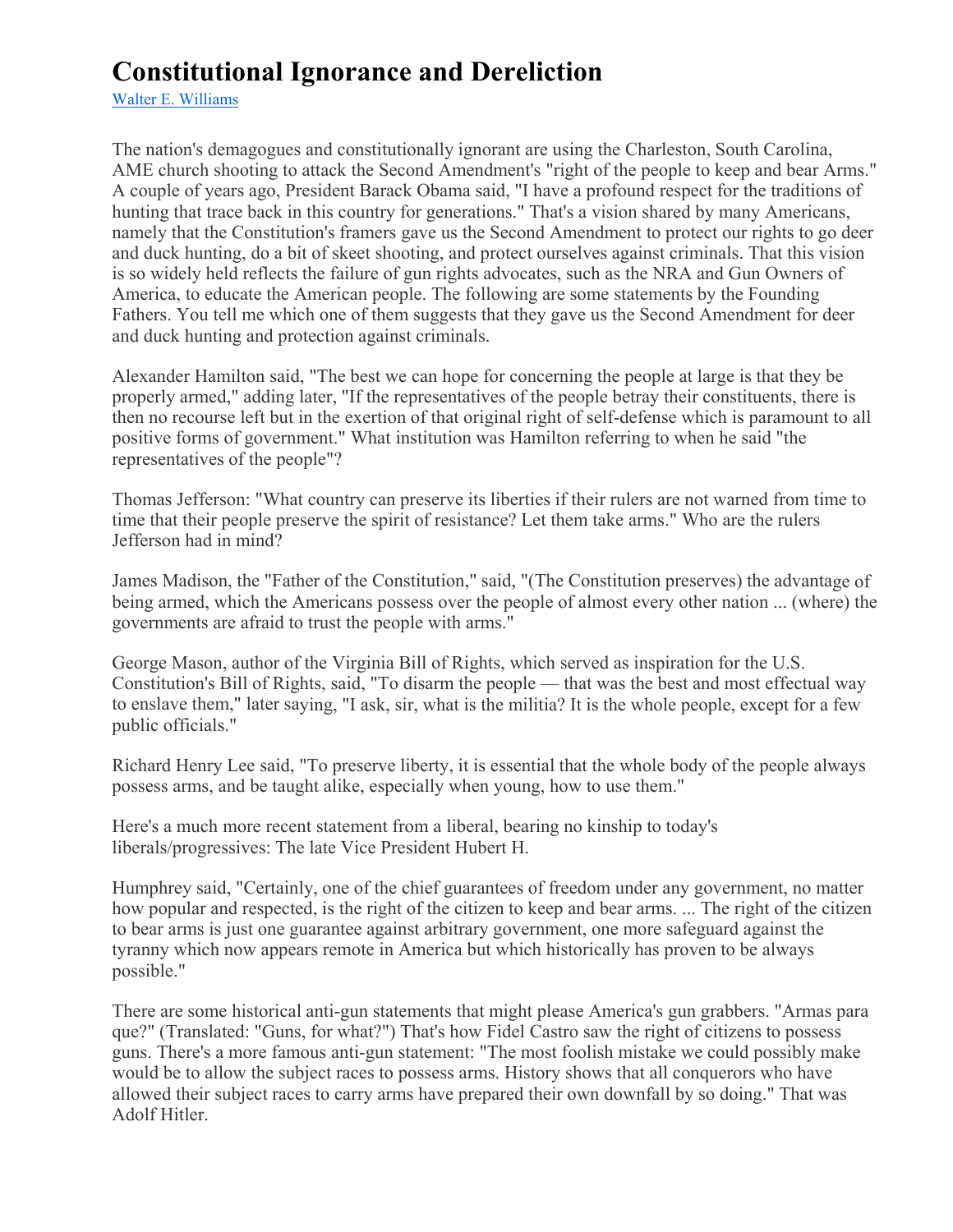## **Constitutional Ignorance and Dereliction**

Walter E. Williams

The nation's demagogues and constitutionally ignorant are using the Charleston, South Carolina, AME church shooting to attack the Second Amendment's "right of the people to keep and bear Arms." A couple of years ago, President Barack Obama said, "I have a profound respect for the traditions of hunting that trace back in this country for generations." That's a vision shared by many Americans, namely that the Constitution's framers gave us the Second Amendment to protect our rights to go deer and duck hunting, do a bit of skeet shooting, and protect ourselves against criminals. That this vision is so widely held reflects the failure of gun rights advocates, such as the NRA and Gun Owners of America, to educate the American people. The following are some statements by the Founding Fathers. You tell me which one of them suggests that they gave us the Second Amendment for deer and duck hunting and protection against criminals.

Alexander Hamilton said, "The best we can hope for concerning the people at large is that they be properly armed," adding later, "If the representatives of the people betray their constituents, there is then no recourse left but in the exertion of that original right of self-defense which is paramount to all positive forms of government." What institution was Hamilton referring to when he said "the representatives of the people"?

Thomas Jefferson: "What country can preserve its liberties if their rulers are not warned from time to time that their people preserve the spirit of resistance? Let them take arms." Who are the rulers Jefferson had in mind?

James Madison, the "Father of the Constitution," said, "(The Constitution preserves) the advantage of being armed, which the Americans possess over the people of almost every other nation ... (where) the governments are afraid to trust the people with arms."

George Mason, author of the Virginia Bill of Rights, which served as inspiration for the U.S. Constitution's Bill of Rights, said, "To disarm the people — that was the best and most effectual way to enslave them," later saying, "I ask, sir, what is the militia? It is the whole people, except for a few public officials."

Richard Henry Lee said, "To preserve liberty, it is essential that the whole body of the people always possess arms, and be taught alike, especially when young, how to use them."

Here's a much more recent statement from a liberal, bearing no kinship to today's liberals/progressives: The late Vice President Hubert H.

Humphrey said, "Certainly, one of the chief guarantees of freedom under any government, no matter how popular and respected, is the right of the citizen to keep and bear arms. ... The right of the citizen to bear arms is just one guarantee against arbitrary government, one more safeguard against the tyranny which now appears remote in America but which historically has proven to be always possible."

There are some historical anti-gun statements that might please America's gun grabbers. "Armas para que?" (Translated: "Guns, for what?") That's how Fidel Castro saw the right of citizens to possess guns. There's a more famous anti-gun statement: "The most foolish mistake we could possibly make would be to allow the subject races to possess arms. History shows that all conquerors who have allowed their subject races to carry arms have prepared their own downfall by so doing." That was Adolf Hitler.